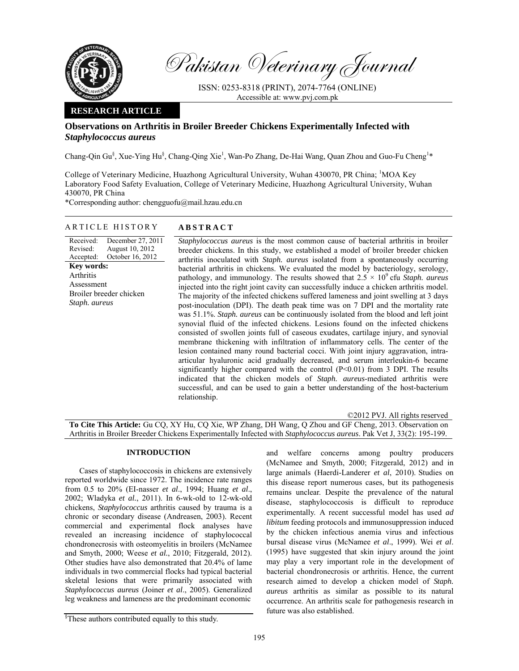

Pakistan Veterinary Journal

ISSN: 0253-8318 (PRINT), 2074-7764 (ONLINE) Accessible at: www.pvj.com.pk

# **RESEARCH ARTICLE**

# **Observations on Arthritis in Broiler Breeder Chickens Experimentally Infected with**  *Staphylococcus aureus*

Chang-Qin Gu<sup>§</sup>, Xue-Ying Hu<sup>§</sup>, Chang-Qing Xie<sup>1</sup>, Wan-Po Zhang, De-Hai Wang, Quan Zhou and Guo-Fu Cheng<sup>1</sup>\*

College of Veterinary Medicine, Huazhong Agricultural University, Wuhan 430070, PR China; <sup>1</sup>MOA Key Laboratory Food Safety Evaluation, College of Veterinary Medicine, Huazhong Agricultural University, Wuhan 430070, PR China

\*Corresponding author: chengguofu@mail.hzau.edu.cn

## ARTICLE HISTORY **ABSTRACT**

Received: Revised: Accepted: December 27, 2011 August 10, 2012 October 16, 2012 **Key words:**  Arthritis Assessment Broiler breeder chicken *Staph. aureus*

*Staphylococcus aureus* is the most common cause of bacterial arthritis in broiler breeder chickens. In this study, we established a model of broiler breeder chicken arthritis inoculated with *Staph. aureus* isolated from a spontaneously occurring bacterial arthritis in chickens. We evaluated the model by bacteriology, serology, pathology, and immunology. The results showed that  $2.5 \times 10^9$  cfu *Staph. aureus* injected into the right joint cavity can successfully induce a chicken arthritis model. The majority of the infected chickens suffered lameness and joint swelling at 3 days post-inoculation (DPI). The death peak time was on 7 DPI and the mortality rate was 51.1%. *Staph. aureus* can be continuously isolated from the blood and left joint synovial fluid of the infected chickens. Lesions found on the infected chickens consisted of swollen joints full of caseous exudates, cartilage injury, and synovial membrane thickening with infiltration of inflammatory cells. The center of the lesion contained many round bacterial cocci. With joint injury aggravation, intraarticular hyaluronic acid gradually decreased, and serum interleukin-6 became significantly higher compared with the control (P<0.01) from 3 DPI. The results indicated that the chicken models of *Staph. aureus*-mediated arthritis were successful, and can be used to gain a better understanding of the host-bacterium relationship.

©2012 PVJ. All rights reserved **To Cite This Article:** Gu CQ, XY Hu, CQ Xie, WP Zhang, DH Wang, Q Zhou and GF Cheng, 2013. Observation on Arthritis in Broiler Breeder Chickens Experimentally Infected with *Staphylococcus aureus*. Pak Vet J, 33(2): 195-199.

# **INTRODUCTION**

Cases of staphylococcosis in chickens are extensively reported worldwide since 1972. The incidence rate ranges from 0.5 to 20% (EI-nasser *et al*., 1994; Huang *et al*., 2002; Wladyka *et al.*, 2011). In 6-wk-old to 12-wk-old chickens, *Staphylococcus* arthritis caused by trauma is a chronic or secondary disease (Andreasen, 2003). Recent commercial and experimental flock analyses have revealed an increasing incidence of staphylococcal chondronecrosis with osteomyelitis in broilers (McNamee and Smyth, 2000; Weese *et al.*, 2010; Fitzgerald, 2012). Other studies have also demonstrated that 20.4% of lame individuals in two commercial flocks had typical bacterial skeletal lesions that were primarily associated with *Staphylococcus aureus* (Joiner *et al*., 2005). Generalized leg weakness and lameness are the predominant economic

§ These authors contributed equally to this study.

and welfare concerns among poultry producers (McNamee and Smyth, 2000; Fitzgerald, 2012) and in large animals (Haerdi-Landerer *et al*, 2010). Studies on this disease report numerous cases, but its pathogenesis remains unclear. Despite the prevalence of the natural disease, staphylococcosis is difficult to reproduce experimentally. A recent successful model has used *ad libitum* feeding protocols and immunosuppression induced by the chicken infectious anemia virus and infectious bursal disease virus (McNamee *et al*., 1999). Wei *et al*. (1995) have suggested that skin injury around the joint may play a very important role in the development of bacterial chondronecrosis or arthritis. Hence, the current research aimed to develop a chicken model of *Staph. aureus* arthritis as similar as possible to its natural occurrence. An arthritis scale for pathogenesis research in future was also established.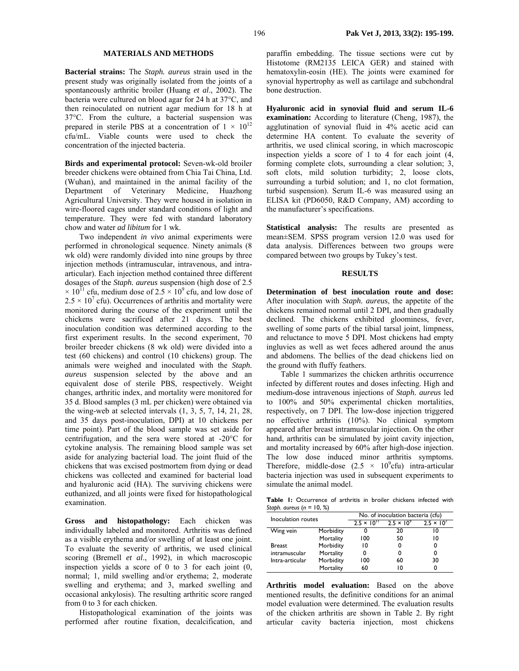## **MATERIALS AND METHODS**

**Bacterial strains:** The *Staph. aureus* strain used in the present study was originally isolated from the joints of a spontaneously arthritic broiler (Huang *et al*., 2002). The bacteria were cultured on blood agar for 24 h at 37°C, and then reinoculated on nutrient agar medium for 18 h at 37°C. From the culture, a bacterial suspension was prepared in sterile PBS at a concentration of  $1 \times 10^{12}$ cfu/mL. Viable counts were used to check the concentration of the injected bacteria.

**Birds and experimental protocol:** Seven-wk-old broiler breeder chickens were obtained from Chia Tai China, Ltd. (Wuhan), and maintained in the animal facility of the Department of Veterinary Medicine, Huazhong Agricultural University. They were housed in isolation in wire-floored cages under standard conditions of light and temperature. They were fed with standard laboratory chow and water *ad libitum* for 1 wk.

Two independent *in vivo* animal experiments were performed in chronological sequence. Ninety animals (8 wk old) were randomly divided into nine groups by three injection methods (intramuscular, intravenous, and intraarticular). Each injection method contained three different dosages of the *Staph. aureus* suspension (high dose of 2.5  $\times 10^{11}$  cfu, medium dose of 2.5  $\times 10^{9}$  cfu, and low dose of  $2.5 \times 10^7$  cfu). Occurrences of arthritis and mortality were monitored during the course of the experiment until the chickens were sacrificed after 21 days. The best inoculation condition was determined according to the first experiment results. In the second experiment, 70 broiler breeder chickens (8 wk old) were divided into a test (60 chickens) and control (10 chickens) group. The animals were weighed and inoculated with the *Staph. aureus* suspension selected by the above and an equivalent dose of sterile PBS, respectively. Weight changes, arthritic index, and mortality were monitored for 35 d. Blood samples (3 mL per chicken) were obtained via the wing-web at selected intervals (1, 3, 5, 7, 14, 21, 28, and 35 days post-inoculation, DPI) at 10 chickens per time point). Part of the blood sample was set aside for centrifugation, and the sera were stored at -20°C for cytokine analysis. The remaining blood sample was set aside for analyzing bacterial load. The joint fluid of the chickens that was excised postmortem from dying or dead chickens was collected and examined for bacterial load and hyaluronic acid (HA). The surviving chickens were euthanized, and all joints were fixed for histopathological examination.

**Gross and histopathology:** Each chicken was individually labeled and monitored. Arthritis was defined as a visible erythema and/or swelling of at least one joint. To evaluate the severity of arthritis, we used clinical scoring (Bremell *et al*., 1992), in which macroscopic inspection yields a score of 0 to 3 for each joint (0, normal; 1, mild swelling and/or erythema; 2, moderate swelling and erythema; and 3, marked swelling and occasional ankylosis). The resulting arthritic score ranged from 0 to 3 for each chicken.

Histopathological examination of the joints was performed after routine fixation, decalcification, and paraffin embedding. The tissue sections were cut by Histotome (RM2135 LEICA GER) and stained with hematoxylin-eosin (HE). The joints were examined for synovial hypertrophy as well as cartilage and subchondral bone destruction.

**Hyaluronic acid in synovial fluid and serum IL-6 examination:** According to literature (Cheng, 1987), the agglutination of synovial fluid in 4% acetic acid can determine HA content. To evaluate the severity of arthritis, we used clinical scoring, in which macroscopic inspection yields a score of 1 to 4 for each joint (4, forming complete clots, surrounding a clear solution; 3, soft clots, mild solution turbidity; 2, loose clots, surrounding a turbid solution; and 1, no clot formation, turbid suspension). Serum IL-6 was measured using an ELISA kit (PD6050, R&D Company, AM) according to the manufacturer's specifications.

**Statistical analysis:** The results are presented as mean±SEM. SPSS program version 12.0 was used for data analysis. Differences between two groups were compared between two groups by Tukey's test.

## **RESULTS**

**Determination of best inoculation route and dose:**  After inoculation with *Staph. aureus*, the appetite of the chickens remained normal until 2 DPI, and then gradually declined. The chickens exhibited gloominess, fever, swelling of some parts of the tibial tarsal joint, limpness, and reluctance to move 5 DPI. Most chickens had empty ingluvies as well as wet feces adhered around the anus and abdomens. The bellies of the dead chickens lied on the ground with fluffy feathers.

Table 1 summarizes the chicken arthritis occurrence infected by different routes and doses infecting. High and medium-dose intravenous injections of *Staph. aureus* led to 100% and 50% experimental chicken mortalities, respectively, on 7 DPI. The low-dose injection triggered no effective arthritis (10%). No clinical symptom appeared after breast intramuscular injection. On the other hand, arthritis can be simulated by joint cavity injection, and mortality increased by 60% after high-dose injection. The low dose induced minor arthritis symptoms. Therefore, middle-dose  $(2.5 \times 10^9$ cfu) intra-articular bacteria injection was used in subsequent experiments to simulate the animal model.

**Table 1:** Occurrence of arthritis in broiler chickens infected with *Staph. aureus* (*n* = 10, %)

| Inoculation routes |           | No. of inoculation bacteria (cfu) |                   |                     |  |  |  |  |
|--------------------|-----------|-----------------------------------|-------------------|---------------------|--|--|--|--|
|                    |           | $25 \times 10^{11}$               | $2.5 \times 10^9$ | $2.5 \times 10^{7}$ |  |  |  |  |
| Wing vein          | Morbidity |                                   | 20                | 10                  |  |  |  |  |
|                    | Mortality | 100                               | 50                | 10                  |  |  |  |  |
| <b>Breast</b>      | Morbidity | 10                                |                   | 0                   |  |  |  |  |
| intramuscular      | Mortality |                                   |                   |                     |  |  |  |  |
| Intra-articular    | Morbidity | 100                               | 60                | 30                  |  |  |  |  |
|                    | Mortality | 60                                | 10                |                     |  |  |  |  |

**Arthritis model evaluation:** Based on the above mentioned results, the definitive conditions for an animal model evaluation were determined. The evaluation results of the chicken arthritis are shown in Table 2. By right articular cavity bacteria injection, most chickens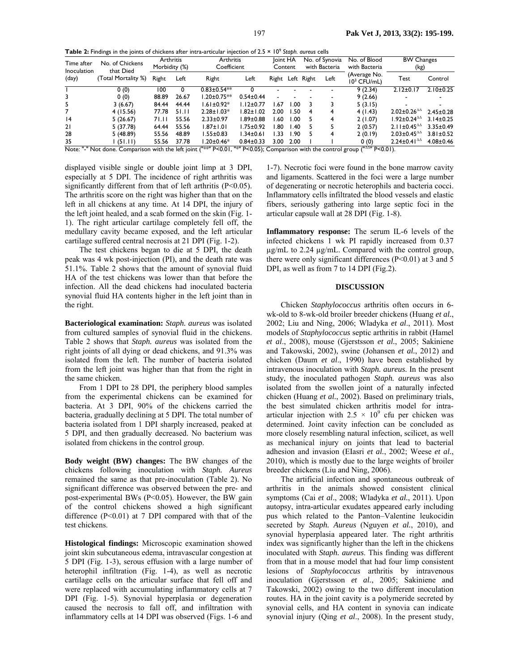**Table 2:** Findings in the joints of chickens after intra-articular injection of 2.5 × 10<sup>9</sup> *Staph. aureus* cells

| No. of Chickens<br>Time after | <b>Arthritis</b><br>Morbidity (%)   |       | Arthritis<br>Coefficient |                                           | loint HA<br>Content |      | No. of Synovia<br>with Bacteria |                  | No. of Blood  | <b>BW Changes</b><br>(kg)               |                                                                   |                 |
|-------------------------------|-------------------------------------|-------|--------------------------|-------------------------------------------|---------------------|------|---------------------------------|------------------|---------------|-----------------------------------------|-------------------------------------------------------------------|-----------------|
| that Died<br>Inoculation      |                                     |       |                          |                                           |                     |      |                                 |                  | with Bacteria |                                         |                                                                   |                 |
| (day)                         | (Total Mortality %)                 | Right | Left                     | Right                                     | Left                |      |                                 | Right Left Right | Left          | (Average No.<br>10 <sup>3</sup> CFU/mL) | Test                                                              | Control         |
|                               | 0(0)                                | 100   | 0                        | $0.83 \pm 0.54**$                         |                     |      |                                 |                  |               | 9(2.34)                                 | $2.12 \pm 0.17$                                                   | $2.10 \pm 0.25$ |
|                               | 0(0)                                | 88.89 | 26.67                    | l.20±0.75**                               | $0.54 \pm 0.44$     |      |                                 |                  |               | 9(2.66)                                 |                                                                   |                 |
|                               | 3(6.67)                             | 84.44 | 44.44                    | $1.61 \pm 0.92*$                          | $1.12 \pm 0.77$     | .67  | 1.00                            |                  |               | 5(3.15)                                 |                                                                   |                 |
|                               | 4 (15.56)                           | 77.78 | 51.11                    | $2.28 \pm 1.03*$                          | $1.82 \pm 1.02$     | 2.00 | 1.50                            |                  |               | 4(1.43)                                 | $2.02 \pm 0.26^{\text{AA}}$                                       | $2.45 \pm 0.28$ |
| 14                            | 5(26.67)                            | 71.11 | 55.56                    | $2.33 \pm 0.97$                           | $1.89 \pm 0.88$     | .60  | 1.00                            |                  |               | 2(1.07)                                 | $1.92 \pm 0.24^{\text{AA}}$                                       | $3.14 \pm 0.25$ |
| 21                            | 5 (37.78)                           | 64.44 | 55.56                    | $1.87 \pm 1.01$                           | $1.75 \pm 0.92$     | - 80 | 1.40                            |                  |               | 2(0.57)                                 | 2.11 $\pm$ 0.45 <sup><math>\Delta</math><math>\Delta</math></sup> | $3.35 \pm 0.49$ |
| 28                            | 5(48.89)                            | 55.56 | 48.89                    | $1.55 \pm 0.83$                           | $1.34 \pm 0.61$     | l 33 | 1.90                            |                  |               | 2(0.19)                                 | $2.03 \pm 0.45^{\text{AA}}$                                       | $3.81 \pm 0.52$ |
| 35<br>$\sim$ $\sim$<br>.      | (51.11)<br>$\overline{\phantom{0}}$ | 55.56 | 37.78<br>.               | l.20±0.46*<br>$m + m = m + m + m = m + m$ | $0.84 \pm 0.33$     | 3.00 | 2.00                            | .                |               | 0(0)<br>$\theta$ <sup>1</sup>           | $2.24 \pm 0.41^{\Delta\Delta}$                                    | $4.08 \pm 0.46$ |

Note: "-" Not done. Comparison with the left joint ("\*\*" P<0.01, "\*" P<0.05); Comparison with the control group (" $\triangle^m$  P<0.01).

displayed visible single or double joint limp at 3 DPI, especially at 5 DPI. The incidence of right arthritis was significantly different from that of left arthritis (P<0.05). The arthritis score on the right was higher than that on the left in all chickens at any time. At 14 DPI, the injury of the left joint healed, and a scab formed on the skin (Fig. 1- 1). The right articular cartilage completely fell off, the medullary cavity became exposed, and the left articular cartilage suffered central necrosis at 21 DPI (Fig. 1-2).

The test chickens began to die at 5 DPI, the death peak was 4 wk post-injection (PI), and the death rate was 51.1%. Table 2 shows that the amount of synovial fluid HA of the test chickens was lower than that before the infection. All the dead chickens had inoculated bacteria synovial fluid HA contents higher in the left joint than in the right.

**Bacteriological examination:** *Staph. aureus* was isolated from cultured samples of synovial fluid in the chickens. Table 2 shows that *Staph. aureus* was isolated from the right joints of all dying or dead chickens, and 91.3% was isolated from the left. The number of bacteria isolated from the left joint was higher than that from the right in the same chicken.

From 1 DPI to 28 DPI, the periphery blood samples from the experimental chickens can be examined for bacteria. At 3 DPI, 90% of the chickens carried the bacteria, gradually declining at 5 DPI. The total number of bacteria isolated from 1 DPI sharply increased, peaked at 5 DPI, and then gradually decreased. No bacterium was isolated from chickens in the control group.

**Body weight (BW) changes:** The BW changes of the chickens following inoculation with *Staph. Aureus* remained the same as that pre-inoculation (Table 2). No significant difference was observed between the pre- and post-experimental BWs (P<0.05). However, the BW gain of the control chickens showed a high significant difference  $(P<0.01)$  at 7 DPI compared with that of the test chickens.

**Histological findings:** Microscopic examination showed joint skin subcutaneous edema, intravascular congestion at 5 DPI (Fig. 1-3), serous effusion with a large number of heterophil infiltration (Fig. 1-4), as well as necrotic cartilage cells on the articular surface that fell off and were replaced with accumulating inflammatory cells at 7 DPI (Fig. 1-5). Synovial hyperplasia or degeneration caused the necrosis to fall off, and infiltration with inflammatory cells at 14 DPI was observed (Figs. 1-6 and

1-7). Necrotic foci were found in the bone marrow cavity and ligaments. Scattered in the foci were a large number of degenerating or necrotic heterophils and bacteria cocci. Inflammatory cells infiltrated the blood vessels and elastic fibers, seriously gathering into large septic foci in the articular capsule wall at 28 DPI (Fig. 1-8).

**Inflammatory response:** The serum IL-6 levels of the infected chickens 1 wk PI rapidly increased from 0.37 µg/mL to 2.24 µg/mL. Compared with the control group, there were only significant differences (P<0.01) at 3 and 5 DPI, as well as from 7 to 14 DPI (Fig.2).

## **DISCUSSION**

Chicken *Staphylococcus* arthritis often occurs in 6 wk-old to 8-wk-old broiler breeder chickens (Huang *et al.*, 2002; Liu and Ning, 2006; Wladyka *et al*., 2011). Most models of *Staphylococcus* septic arthritis in rabbit (Hamel *et al*., 2008), mouse (Gjerstsson *et al.*, 2005; Sakiniene and Takowski, 2002), swine (Johansen *et al.*, 2012) and chicken (Daum *et al*., 1990) have been established by intravenous inoculation with *Staph. aureus*. In the present study, the inoculated pathogen *Staph. aureus* was also isolated from the swollen joint of a naturally infected chicken (Huang *et al.*, 2002). Based on preliminary trials, the best simulated chicken arthritis model for intraarticular injection with  $2.5 \times 10^9$  cfu per chicken was determined. Joint cavity infection can be concluded as more closely resembling natural infection, scilicet, as well as mechanical injury on joints that lead to bacterial adhesion and invasion (EIasri *et al.*, 2002; Weese *et al.*, 2010), which is mostly due to the large weights of broiler breeder chickens (Liu and Ning, 2006).

The artificial infection and spontaneous outbreak of arthritis in the animals showed consistent clinical symptoms (Cai *et al*., 2008; Wladyka *et al.*, 2011). Upon autopsy, intra-articular exudates appeared early including pus which related to the Panton–Valentine leukocidin secreted by *Staph. Aureus* (Nguyen *et al.*, 2010), and synovial hyperplasia appeared later. The right arthritis index was significantly higher than the left in the chickens inoculated with *Staph. aureus*. This finding was different from that in a mouse model that had four limp consistent lesions of *Staphylococcus* arthritis by intravenous inoculation (Gjerstsson *et al.*, 2005; Sakiniene and Takowski, 2002) owing to the two different inoculation routes. HA in the joint cavity is a polymeride secreted by synovial cells, and HA content in synovia can indicate synovial injury (Qing *et al*., 2008). In the present study,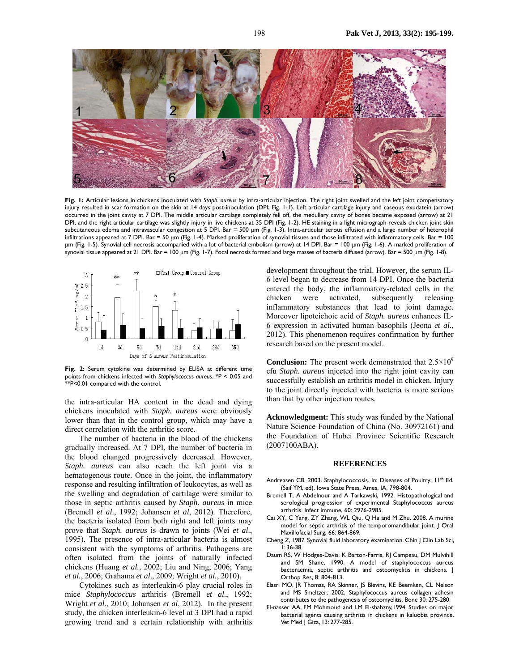

**Fig. 1:** Articular lesions in chickens inoculated with *Staph. aureus* by intra-articular injection*.* The right joint swelled and the left joint compensatory injury resulted in scar formation on the skin at 14 days post-inoculation (DPI; Fig. 1-1). Left articular cartilage injury and caseous exudatein (arrow) occurred in the joint cavity at 7 DPI. The middle articular cartilage completely fell off, the medullary cavity of bones became exposed (arrow) at 21 DPI, and the right articular cartilage was slightly injury in live chickens at 35 DPI (Fig. 1-2). HE staining in a light micrograph reveals chicken joint skin subcutaneous edema and intravascular congestion at 5 DPI. Bar = 500 µm (Fig. 1-3). Intra-articular serous effusion and a large number of heterophil infiltrations appeared at 7 DPI. Bar = 50 µm (Fig. 1-4). Marked proliferation of synovial tissues and those infiltrated with inflammatory cells. Bar = 100 µm (Fig. 1-5). Synovial cell necrosis accompanied with a lot of bacterial embolism (arrow) at 14 DPI. Bar = 100 µm (Fig. 1-6). A marked proliferation of synovial tissue appeared at 21 DPI. Bar = 100 μm (Fig. 1-7). Focal necrosis formed and large masses of bacteria diffused (arrow). Bar = 500 μm (Fig. 1-8).



**Fig. 2:** Serum cytokine was determined by ELISA at different time points from chickens infected with *Staphylococcus aureus*. \*P < 0.05 and \*\*P<0.01 compared with the control.

the intra-articular HA content in the dead and dying chickens inoculated with *Staph. aureus* were obviously lower than that in the control group, which may have a direct correlation with the arthritic score.

The number of bacteria in the blood of the chickens gradually increased. At 7 DPI, the number of bacteria in the blood changed progressively decreased. However, *Staph. aureus* can also reach the left joint via a hematogenous route. Once in the joint, the inflammatory response and resulting infiltration of leukocytes, as well as the swelling and degradation of cartilage were similar to those in septic arthritis caused by *Staph. aureus* in mice (Bremell *et al*., 1992; Johansen *et al*, 2012). Therefore, the bacteria isolated from both right and left joints may prove that *Staph. aureus* is drawn to joints (Wei *et al*., 1995). The presence of intra-articular bacteria is almost consistent with the symptoms of arthritis. Pathogens are often isolated from the joints of naturally infected chickens (Huang *et al.*, 2002; Liu and Ning, 2006; Yang *et al.*, 2006; Grahama *et al*., 2009; Wright *et al.*, 2010).

Cytokines such as interleukin-6 play crucial roles in mice *Staphylococcus* arthritis (Bremell *et al.*, 1992; Wright *et al.*, 2010; Johansen *et al*, 2012). In the present study, the chicken interleukin-6 level at 3 DPI had a rapid growing trend and a certain relationship with arthritis

development throughout the trial. However, the serum IL-6 level began to decrease from 14 DPI. Once the bacteria entered the body, the inflammatory-related cells in the chicken were activated, subsequently releasing inflammatory substances that lead to joint damage. Moreover lipoteichoic acid of *Staph. aureus* enhances IL-6 expression in activated human basophils (Jeona *et al.*, 2012). This phenomenon requires confirmation by further research based on the present model.

**Conclusion:** The present work demonstrated that  $2.5 \times 10^9$ cfu *Staph. aureus* injected into the right joint cavity can successfully establish an arthritis model in chicken. Injury to the joint directly injected with bacteria is more serious than that by other injection routes.

**Acknowledgment:** This study was funded by the National Nature Science Foundation of China (No. 30972161) and the Foundation of Hubei Province Scientific Research (2007100ABA).

#### **REFERENCES**

- Andreasen CB, 2003. Staphylococcosis. In: Diseases of Poultry; 11<sup>th</sup> Ed, (Saif YM, ed), Iowa State Press, Ames, IA, 798-804.
- Bremell T, A Abdelnour and A Tarkawski, 1992. Histopathological and serological progression of experimental Staphylococcus aureus arthritis. Infect immune, 60: 2976-2985.
- Cai XY, C Yang, ZY Zhang, WL Qiu, Q Ha and M Zhu, 2008. A murine model for septic arthritis of the temporomandibular joint. J Oral Maxillofacial Surg, 66: 864-869.
- Cheng Z, 1987. Synovial fluid laboratory examination. Chin J Clin Lab Sci, 1: 36-38.
- Daum RS, W Hodges-Davis, K Barton-Farris, RJ Campeau, DM Mulvihill and SM Shane, 1990. A model of staphylococcus aureus bacteraemia, septic arthritis and osteomyelitis in chickens. J Orthop Res, 8: 804-813.
- Elasri MO, JR Thomas, RA Skinner, JS Blevins, KE Beemken, CL Nelson and MS Smeltzer, 2002. Staphylococcus aureus collagen adhesin contributes to the pathogenesis of osteomyelitis. Bone 30: 275-280.
- El-nasser AA, FM Mohmoud and LM El-shabzny,1994. Studies on major bacterial agents causing arthritis in chickens in kaluobia province. Vet Med J Giza, 13: 277-285.